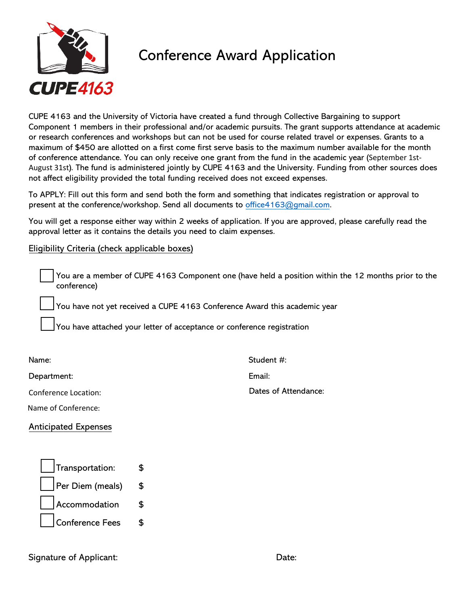

## Conference Award Application

CUPE 4163 and the University of Victoria have created a fund through Collective Bargaining to support Component 1 members in their professional and/or academic pursuits. The grant supports attendance at academic or research conferences and workshops but can not be used for course related travel or expenses. Grants to a maximum of \$450 are allotted on a first come first serve basis to the maximum number available for the month of conference attendance. You can only receive one grant from the fund in the academic year (September 1st-August 31st). The fund is administered jointly by CUPE 4163 and the University. Funding from other sources does not affect eligibility provided the total funding received does not exceed expenses.

To APPLY: Fill out this form and send both the form and something that indicates registration or approval to present at the conference/workshop. Send all documents to office4163@gmail.com.

You will get a response either way within 2 weeks of application. If you are approved, please carefully read the approval letter as it contains the details you need to claim expenses.

## Eligibility Criteria (check applicable boxes)

You are a member of CUPE 4163 Component one (have held a position within the 12 months prior to the conference)

You have not yet received a CUPE 4163 Conference Award this academic year

You have attached your letter of acceptance or conference registration

Name:

Department:

Conference Location:

Name of Conference:

Anticipated Expenses

| Transportation:       | ፍ  |
|-----------------------|----|
| Per Diem (meals)      | \$ |
| $\vert$ Accommodation | \$ |
| Conference Fees       | ፍ  |

Signature of Applicant: Date: Date: Date: Date: Date: Date: Date: Date: Date: Date: Date: Date: Date: Date: Date:  $\Box$ 

Student #:

Email:

Dates of Attendance: